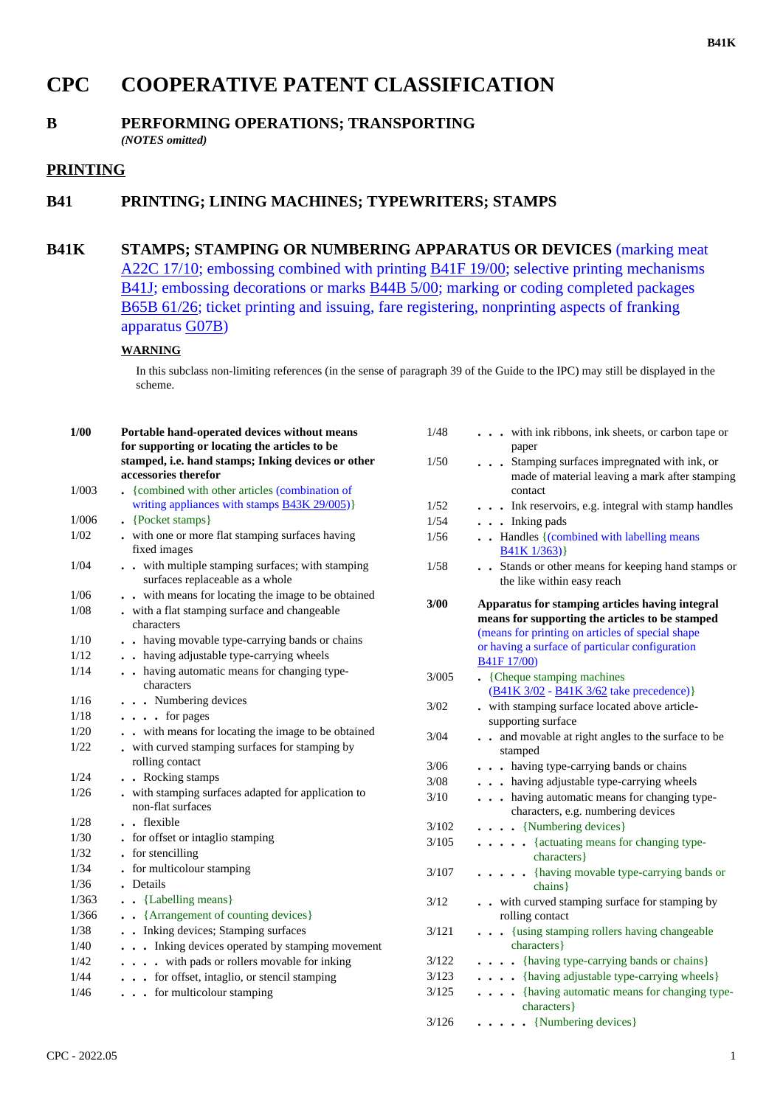# **CPC COOPERATIVE PATENT CLASSIFICATION**

#### **B PERFORMING OPERATIONS; TRANSPORTING** *(NOTES omitted)*

#### **PRINTING**

### **B41 PRINTING; LINING MACHINES; TYPEWRITERS; STAMPS**

## **B41K STAMPS; STAMPING OR NUMBERING APPARATUS OR DEVICES** (marking meat A22C 17/10; embossing combined with printing B41F 19/00; selective printing mechanisms B41J; embossing decorations or marks B44B 5/00; marking or coding completed packages B65B 61/26; ticket printing and issuing, fare registering, nonprinting aspects of franking apparatus G07B)

#### **WARNING**

In this subclass non-limiting references (in the sense of paragraph 39 of the Guide to the IPC) may still be displayed in the scheme.

| 1/00  | Portable hand-operated devices without means<br>for supporting or locating the articles to be | 1/48   | with ink ribbons, ink sheets, or carbon tape or<br>paper                                           |
|-------|-----------------------------------------------------------------------------------------------|--------|----------------------------------------------------------------------------------------------------|
|       | stamped, i.e. hand stamps; Inking devices or other<br>accessories therefor                    | 1/50   | Stamping surfaces impregnated with ink, or<br>made of material leaving a mark after stamping       |
| 1/003 | • {combined with other articles (combination of                                               |        | contact                                                                                            |
|       | writing appliances with stamps <b>B43K 29/005</b> )}                                          | 1/52   | . Ink reservoirs, e.g. integral with stamp handles                                                 |
| 1/006 | $\left\{$ Pocket stamps $\right\}$                                                            | 1/54   | $\ldots$ Inking pads                                                                               |
| 1/02  | . with one or more flat stamping surfaces having<br>fixed images                              | 1/56   | . Handles {(combined with labelling means<br>B41K 1/363)                                           |
| 1/04  | . . with multiple stamping surfaces; with stamping<br>surfaces replaceable as a whole         | 1/58   | . Stands or other means for keeping hand stamps or<br>the like within easy reach                   |
| 1/06  | . . with means for locating the image to be obtained                                          | 3/00   |                                                                                                    |
| 1/08  | . with a flat stamping surface and changeable                                                 |        | Apparatus for stamping articles having integral<br>means for supporting the articles to be stamped |
|       | characters                                                                                    |        | (means for printing on articles of special shape                                                   |
| 1/10  | . . having movable type-carrying bands or chains                                              |        | or having a surface of particular configuration                                                    |
| 1/12  | . . having adjustable type-carrying wheels                                                    |        | <b>B41F 17/00</b>                                                                                  |
| 1/14  | . . having automatic means for changing type-<br>characters                                   | 3/005  | • {Cheque stamping machines<br>(B41K 3/02 - B41K 3/62 take precedence)}                            |
| 1/16  | . Numbering devices                                                                           | 3/02   | - with stamping surface located above article-                                                     |
| 1/18  | $\ldots$ for pages                                                                            |        | supporting surface                                                                                 |
| 1/20  | . . with means for locating the image to be obtained                                          | 3/04   | . . and movable at right angles to the surface to be                                               |
| 1/22  | . with curved stamping surfaces for stamping by                                               |        | stamped                                                                                            |
|       | rolling contact                                                                               | $3/06$ | . having type-carrying bands or chains                                                             |
| 1/24  | . Rocking stamps                                                                              | $3/08$ | . having adjustable type-carrying wheels                                                           |
| 1/26  | . with stamping surfaces adapted for application to<br>non-flat surfaces                      | 3/10   | having automatic means for changing type-<br>characters, e.g. numbering devices                    |
| 1/28  | . . flexible                                                                                  | 3/102  | $\ldots$ $\ldots$ {Numbering devices}                                                              |
| 1/30  | . for offset or intaglio stamping                                                             | 3/105  | . {actuating means for changing type-                                                              |
| 1/32  | • for stencilling                                                                             |        | characters }                                                                                       |
| 1/34  | - for multicolour stamping                                                                    | 3/107  | . {having movable type-carrying bands or                                                           |
| 1/36  | . Details                                                                                     |        | chains }                                                                                           |
| 1/363 | . . {Labelling means}                                                                         | 3/12   | . . with curved stamping surface for stamping by                                                   |
| 1/366 | • {Arrangement of counting devices}                                                           |        | rolling contact                                                                                    |
| 1/38  | . . Inking devices; Stamping surfaces                                                         | 3/121  | . {using stamping rollers having changeable                                                        |
| 1/40  | . Inking devices operated by stamping movement                                                |        | characters}                                                                                        |
| 1/42  | . with pads or rollers movable for inking                                                     | 3/122  | . {having type-carrying bands or chains}                                                           |
| 1/44  | for offset, intaglio, or stencil stamping                                                     | 3/123  | . {having adjustable type-carrying wheels}                                                         |
| 1/46  | . for multicolour stamping                                                                    | 3/125  | . {having automatic means for changing type-<br>characters }                                       |
|       |                                                                                               | 3/126  | $\ldots$ . {Numbering devices}                                                                     |